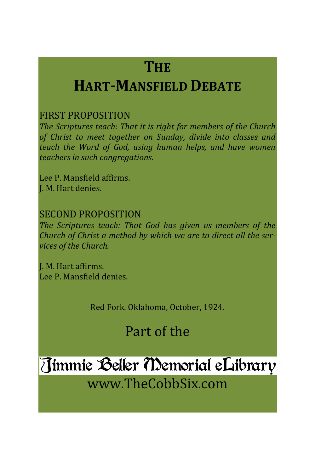# **THE**

# **HART-MANSFIELD DEBATE**

### FIRST PROPOSITION

*The Scriptures teach: That it is right for members of the Church of Christ to meet together on Sunday, divide into classes and teach the Word of God, using human helps, and have women teachers in such congregations.*

Lee P. Mansfield affirms. J. M. Hart denies.

### SECOND PROPOSITION

*The Scriptures teach: That God has given us members of the Church of Christ a method by which we are to direct all the services of the Church.*

J. M. Hart affirms. Lee P. Mansfield denies.

Red Fork. Oklahoma, October, 1924.

# Part of the

# Timmie Beller Memorial eLibrary

www.TheCobbSix.com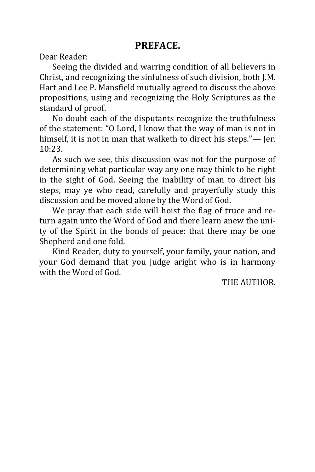#### **PREFACE.**

Dear Reader:

Seeing the divided and warring condition of all believers in Christ, and recognizing the sinfulness of such division, both J.M. Hart and Lee P. Mansfield mutually agreed to discuss the above propositions, using and recognizing the Holy Scriptures as the standard of proof.

No doubt each of the disputants recognize the truthfulness of the statement: "O Lord, I know that the way of man is not in himself, it is not in man that walketh to direct his steps."— Jer. 10:23.

As such we see, this discussion was not for the purpose of determining what particular way any one may think to be right in the sight of God. Seeing the inability of man to direct his steps, may ye who read, carefully and prayerfully study this discussion and be moved alone by the Word of God.

We pray that each side will hoist the flag of truce and return again unto the Word of God and there learn anew the unity of the Spirit in the bonds of peace: that there may be one Shepherd and one fold.

Kind Reader, duty to yourself, your family, your nation, and your God demand that you judge aright who is in harmony with the Word of God.

THE AUTHOR.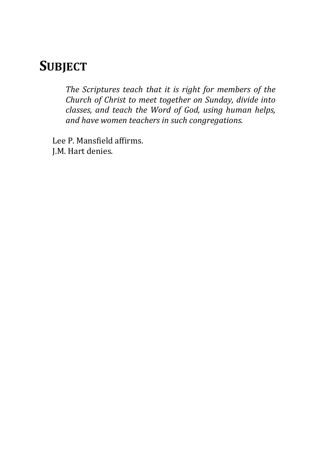## **SUBJECT**

*The Scriptures teach that it is right for members of the Church of Christ to meet together on Sunday, divide into classes, and teach the Word of God, using human helps, and have women teachers in such congregations.*

Lee P. Mansfield affirms. J.M. Hart denies.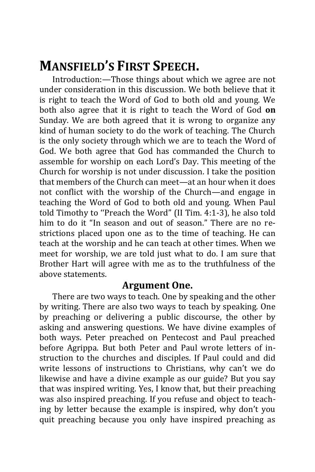## **MANSFIELD'S FIRST SPEECH.**

Introduction:—Those things about which we agree are not under consideration in this discussion. We both believe that it is right to teach the Word of God to both old and young. We both also agree that it is right to teach the Word of God **on**  Sunday. We are both agreed that it is wrong to organize any kind of human society to do the work of teaching. The Church is the only society through which we are to teach the Word of God. We both agree that God has commanded the Church to assemble for worship on each Lord's Day. This meeting of the Church for worship is not under discussion. I take the position that members of the Church can meet—at an hour when it does not conflict with the worship of the Church—and engage in teaching the Word of God to both old and young. When Paul told Timothy to ''Preach the Word" (II Tim. 4:1-3), he also told him to do it "In season and out of season." There are no restrictions placed upon one as to the time of teaching. He can teach at the worship and he can teach at other times. When we meet for worship, we are told just what to do. I am sure that Brother Hart will agree with me as to the truthfulness of the above statements.

#### **Argument One.**

There are two ways to teach. One by speaking and the other by writing. There are also two ways to teach by speaking. One by preaching or delivering a public discourse, the other by asking and answering questions. We have divine examples of both ways. Peter preached on Pentecost and Paul preached before Agrippa. But both Peter and Paul wrote letters of instruction to the churches and disciples. If Paul could and did write lessons of instructions to Christians, why can't we do likewise and have a divine example as our guide? But you say that was inspired writing. Yes, I know that, but their preaching was also inspired preaching. If you refuse and object to teaching by letter because the example is inspired, why don't you quit preaching because you only have inspired preaching as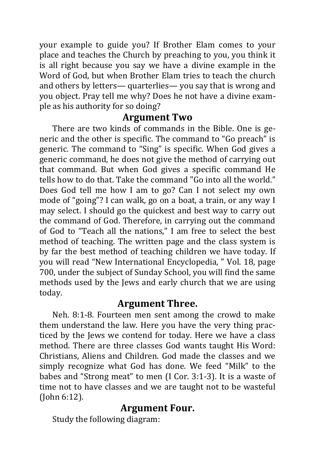your example to guide you? If Brother Elam comes to your place and teaches the Church by preaching to you, you think it is all right because you say we have a divine example in the Word of God, but when Brother Elam tries to teach the church and others by letters— quarterlies— you say that is wrong and you object. Pray tell me why? Does he not have a divine example as his authority for so doing?

#### **Argument Two**

There are two kinds of commands in the Bible. One is generic and the other is specific. The command to "Go preach" is generic. The command to "Sing" is specific. When God gives a generic command, he does not give the method of carrying out that command. But when God gives a specific command He tells how to do that. Take the command "Go into all the world." Does God tell me how I am to go? Can I not select my own mode of "going"? I can walk, go on a boat, a train, or any way I may select. I should go the quickest and best way to carry out the command of God. Therefore, in carrying out the command of God to "Teach all the nations," I am free to select the best method of teaching. The written page and the class system is by far the best method of teaching children we have today. If you will read "New International Encyclopedia, " Vol. 18, page 700, under the subject of Sunday School, you will find the same methods used by the Jews and early church that we are using today.

### **Argument Three.**

Neh. 8:1-8. Fourteen men sent among the crowd to make them understand the law. Here you have the very thing practiced by the Jews we contend for today. Here we have a class method. There are three classes God wants taught His Word: Christians, Aliens and Children. God made the classes and we simply recognize what God has done. We feed "Milk" to the babes and "Strong meat" to men (I Cor. 3:1-3). It is a waste of time not to have classes and we are taught not to be wasteful (John 6:12).

### **Argument Four.**

Study the following diagram: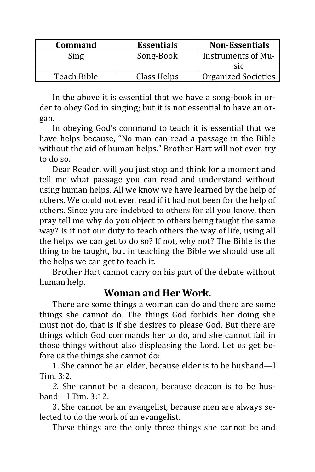| <b>Command</b> | <b>Essentials</b> | <b>Non-Essentials</b>      |
|----------------|-------------------|----------------------------|
| Sing           | Song-Book         | Instruments of Mu-         |
|                |                   | <b>SIC</b>                 |
| Teach Bible    | Class Helps       | <b>Organized Societies</b> |

In the above it is essential that we have a song-book in order to obey God in singing; but it is not essential to have an organ.

In obeying God's command to teach it is essential that we have helps because, "No man can read a passage in the Bible without the aid of human helps." Brother Hart will not even try to do so.

Dear Reader, will you just stop and think for a moment and tell me what passage you can read and understand without using human helps. All we know we have learned by the help of others. We could not even read if it had not been for the help of others. Since you are indebted to others for all you know, then pray tell me why do you object to others being taught the same way? Is it not our duty to teach others the way of life, using all the helps we can get to do so? If not, why not? The Bible is the thing to be taught, but in teaching the Bible we should use all the helps we can get to teach it.

Brother Hart cannot carry on his part of the debate without human help.

### **Woman and Her Work.**

There are some things a woman can do and there are some things she cannot do. The things God forbids her doing she must not do, that is if she desires to please God. But there are things which God commands her to do, and she cannot fail in those things without also displeasing the Lord. Let us get before us the things she cannot do:

1. She cannot be an elder, because elder is to be husband—I Tim. 3:2.

*2.* She cannot be a deacon, because deacon is to be husband—I Tim. 3:12.

3. She cannot be an evangelist, because men are always selected to do the work of an evangelist.

These things are the only three things she cannot be and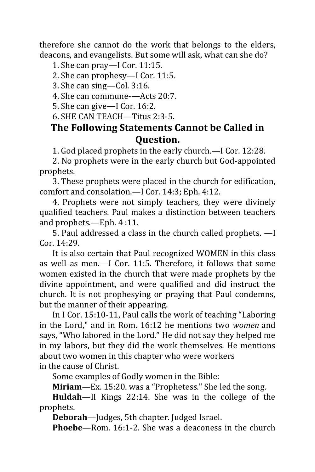therefore she cannot do the work that belongs to the elders, deacons, and evangelists. But some will ask, what can she do?

1. She can pray—I Cor. 11:15.

2. She can prophesy—I Cor. 11:5.

3. She can sing—Col. 3:16.

4. She can commune-—Acts 20:7.

5. She can give—I Cor. 16:2.

6. SHE CAN TEACH—Titus 2:3-5.

### **The Following Statements Cannot be Called in Question.**

1. God placed prophets in the early church.—I Cor. 12:28.

2. No prophets were in the early church but God-appointed prophets.

3. These prophets were placed in the church for edification, comfort and consolation.—I Cor. 14:3; Eph. 4:12.

4. Prophets were not simply teachers, they were divinely qualified teachers. Paul makes a distinction between teachers and prophets.—Eph. 4 :11.

5. Paul addressed a class in the church called prophets. —I Cor. 14:29.

It is also certain that Paul recognized WOMEN in this class as well as men.—I Cor. 11:5. Therefore, it follows that some women existed in the church that were made prophets by the divine appointment, and were qualified and did instruct the church. It is not prophesying or praying that Paul condemns, but the manner of their appearing.

In I Cor. 15:10-11, Paul calls the work of teaching "Laboring in the Lord," and in Rom. 16:12 he mentions two *women* and says, "Who labored in the Lord." He did not say they helped me in my labors, but they did the work themselves. He mentions about two women in this chapter who were workers in the cause of Christ.

Some examples of Godly women in the Bible:

**Miriam**—Ex. 15:20. was a "Prophetess." She led the song.

**Huldah**—II Kings 22:14. She was in the college of the prophets.

**Deborah**—Judges, 5th chapter. Judged Israel.

**Phoebe**—Rom. 16:1-2. She was a deaconess in the church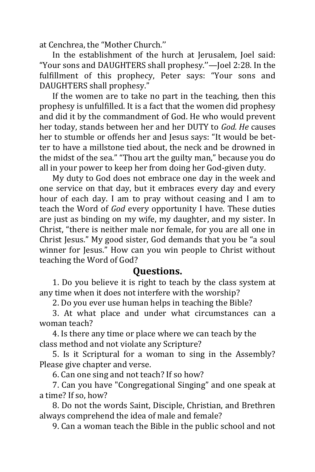at Cenchrea, the "Mother Church.''

In the establishment of the hurch at Jerusalem, Joel said: "Your sons and DAUGHTERS shall prophesy.''—Joel 2:28. In the fulfillment of this prophecy, Peter says: "Your sons and DAUGHTERS shall prophesy."

If the women are to take no part in the teaching, then this prophesy is unfulfilled. It is a fact that the women did prophesy and did it by the commandment of God. He who would prevent her today, stands between her and her DUTY to *God. He* causes her to stumble or offends her and Jesus says: "It would be better to have a millstone tied about, the neck and be drowned in the midst of the sea." "Thou art the guilty man," because you do all in your power to keep her from doing her God-given duty.

My duty to God does not embrace one day in the week and one service on that day, but it embraces every day and every hour of each day. I am to pray without ceasing and I am to teach the Word of *God* every opportunity I have. These duties are just as binding on my wife, my daughter, and my sister. In Christ, "there is neither male nor female, for you are all one in Christ Jesus." My good sister, God demands that you be "a soul winner for Jesus." How can you win people to Christ without teaching the Word of God?

#### **Questions.**

1. Do you believe it is right to teach by the class system at any time when it does not interfere with the worship?

2. Do you ever use human helps in teaching the Bible?

3. At what place and under what circumstances can a woman teach?

4. Is there any time or place where we can teach by the class method and not violate any Scripture?

5. Is it Scriptural for a woman to sing in the Assembly? Please give chapter and verse.

6. Can one sing and not teach? If so how?

7. Can you have "Congregational Singing" and one speak at a time? If so, how?

8. Do not the words Saint, Disciple, Christian, and Brethren always comprehend the idea of male and female?

9. Can a woman teach the Bible in the public school and not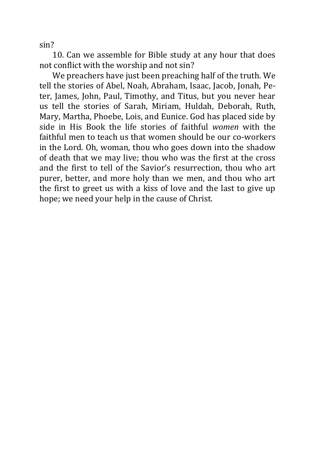sin?

10. Can we assemble for Bible study at any hour that does not conflict with the worship and not sin?

We preachers have just been preaching half of the truth. We tell the stories of Abel, Noah, Abraham, Isaac, Jacob, Jonah, Peter, James, John, Paul, Timothy, and Titus, but you never hear us tell the stories of Sarah, Miriam, Huldah, Deborah, Ruth, Mary, Martha, Phoebe, Lois, and Eunice. God has placed side by side in His Book the life stories of faithful *women* with the faithful men to teach us that women should be our co-workers in the Lord. Oh, woman, thou who goes down into the shadow of death that we may live; thou who was the first at the cross and the first to tell of the Savior's resurrection, thou who art purer, better, and more holy than we men, and thou who art the first to greet us with a kiss of love and the last to give up hope; we need your help in the cause of Christ.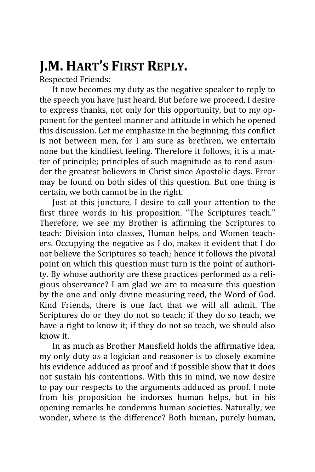# **J.M. HART'S FIRST REPLY.**

Respected Friends:

It now becomes my duty as the negative speaker to reply to the speech you have just heard. But before we proceed, I desire to express thanks, not only for this opportunity, but to my opponent for the genteel manner and attitude in which he opened this discussion. Let me emphasize in the beginning, this conflict is not between men, for I am sure as brethren, we entertain none but the kindliest feeling. Therefore it follows, it is a matter of principle; principles of such magnitude as to rend asunder the greatest believers in Christ since Apostolic days. Error may be found on both sides of this question. But one thing is certain, we both cannot be in the right.

Just at this juncture, I desire to call your attention to the first three words in his proposition. "The Scriptures teach." Therefore, we see my Brother is affirming the Scriptures to teach: Division into classes, Human helps, and Women teachers. Occupying the negative as I do, makes it evident that I do not believe the Scriptures so teach*;* hence it follows the pivotal point on which this question must turn is the point of authority. By whose authority are these practices performed as a religious observance? I am glad we are to measure this question by the one and only divine measuring reed, the Word of God. Kind Friends, there is one fact that we will all admit. The Scriptures do or they do not so teach; if they do so teach, we have a right to know it; if they do not so teach, we should also know it.

In as much as Brother Mansfield holds the affirmative idea, my only duty as a logician and reasoner is to closely examine his evidence adduced as proof and if possible show that it does not sustain his contentions. With this in mind, we now desire to pay our respects to the arguments adduced as proof. I note from his proposition he indorses human helps, but in his opening remarks he condemns human societies. Naturally, we wonder, where is the difference? Both human, purely human,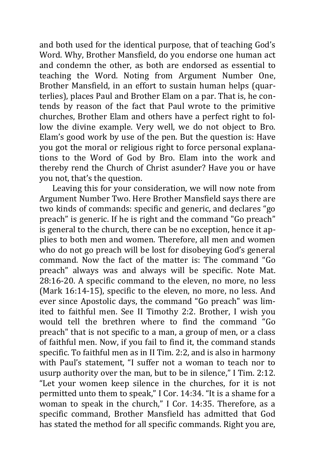and both used for the identical purpose, that of teaching God's Word. Why, Brother Mansfield, do you endorse one human act and condemn the other, as both are endorsed as essential to teaching the Word. Noting from Argument Number One, Brother Mansfield, in an effort to sustain human helps (quarterlies), places Paul and Brother Elam on a par. That is, he contends by reason of the fact that Paul wrote to the primitive churches, Brother Elam and others have a perfect right to follow the divine example. Very well, we do not object to Bro. Elam's good work by use of the pen. But the question is: Have you got the moral or religious right to force personal explanations to the Word of God by Bro. Elam into the work and thereby rend the Church of Christ asunder? Have you or have you not, that's the question.

Leaving this for your consideration, we will now note from Argument Number Two. Here Brother Mansfield says there are two kinds of commands: specific and generic, and declares "go preach" is generic. If he is right and the command "Go preach" is general to the church, there can be no exception, hence it applies to both men and women. Therefore, all men and women who do not go preach will be lost for disobeying God's general command. Now the fact of the matter is: The command "Go preach" always was and always will be specific. Note Mat. 28:16-20. A specific command to the eleven, no more, no less (Mark 16:14-15), specific to the eleven, no more, no less. And ever since Apostolic days, the command "Go preach" was limited to faithful men. See II Timothy 2:2. Brother, I wish you would tell the brethren where to find the command "Go preach" that is not specific to a man, a group of men, or a class of faithful men. Now, if you fail to find it, the command stands specific. To faithful men as in II Tim. 2:2, and is also in harmony with Paul's statement, "I suffer not a woman to teach nor to usurp authority over the man, but to be in silence," I Tim. 2:12. "Let your women keep silence in the churches, for it is not permitted unto them to speak," I Cor. 14:34. "It is a shame for a woman to speak in the church," I Cor. 14:35. Therefore, as a specific command, Brother Mansfield has admitted that God has stated the method for all specific commands. Right you are,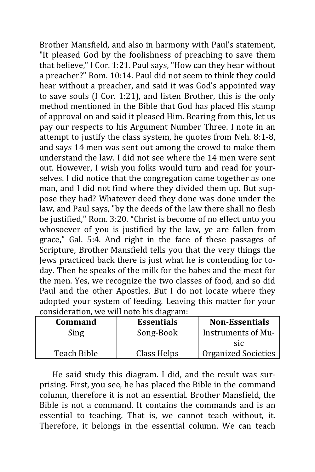Brother Mansfield, and also in harmony with Paul's statement, "It pleased God by the foolishness of preaching to save them that believe," I Cor. 1:21. Paul says, "How can they hear without a preacher?" Rom. 10:14. Paul did not seem to think they could hear without a preacher, and said it was God's appointed way to save souls (I Cor. 1:21), and listen Brother, this is the only method mentioned in the Bible that God has placed His stamp of approval on and said it pleased Him. Bearing from this, let us pay our respects to his Argument Number Three. I note in an attempt to justify the class system, he quotes from Neh. 8:1-8, and says 14 men was sent out among the crowd to make them understand the law. I did not see where the 14 men were sent out. However, I wish you folks would turn and read for yourselves. I did notice that the congregation came together as one man, and I did not find where they divided them up. But suppose they had? Whatever deed they done was done under the law, and Paul says, "by the deeds of the law there shall no flesh be justified," Rom. 3:20. "Christ is become of no effect unto you whosoever of you is justified by the law, ye are fallen from grace," Gal. 5:4. And right in the face of these passages of Scripture, Brother Mansfield tells you that the very things the Jews practiced back there is just what he is contending for today. Then he speaks of the milk for the babes and the meat for the men. Yes, we recognize the two classes of food, and so did Paul and the other Apostles. But I do not locate where they adopted your system of feeding. Leaving this matter for your consideration, we will note his diagram:

| <b>Command</b> | <b>Essentials</b> | <b>Non-Essentials</b>      |
|----------------|-------------------|----------------------------|
| Sing           | Song-Book         | Instruments of Mu-         |
|                |                   | <b>SIC</b>                 |
| Teach Bible    | Class Helps       | <b>Organized Societies</b> |

He said study this diagram. I did, and the result was surprising. First, you see, he has placed the Bible in the command column, therefore it is not an essential. Brother Mansfield, the Bible is not a command. It contains the commands and is an essential to teaching. That is, we cannot teach without, it. Therefore, it belongs in the essential column. We can teach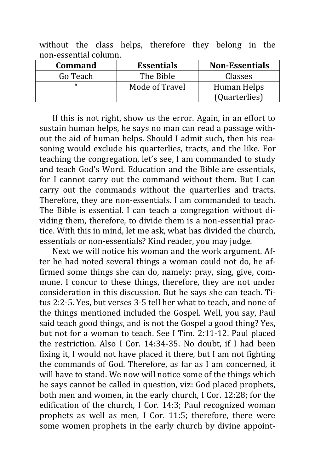without the class helps, therefore they belong in the non-essential column.

| Command    | <b>Essentials</b> | <b>Non-Essentials</b> |
|------------|-------------------|-----------------------|
| Go Teach   | The Bible         | Classes               |
| $\epsilon$ | Mode of Travel    | Human Helps           |
|            |                   | (Quarterlies)         |

If this is not right, show us the error. Again, in an effort to sustain human helps, he says no man can read a passage without the aid of human helps. Should I admit such, then his reasoning would exclude his quarterlies, tracts, and the like. For teaching the congregation, let's see, I am commanded to study and teach God's Word. Education and the Bible are essentials, for I cannot carry out the command without them. But I can carry out the commands without the quarterlies and tracts. Therefore, they are non-essentials. I am commanded to teach. The Bible is essential. I can teach a congregation without dividing them, therefore, to divide them is a non-essential practice. With this in mind, let me ask, what has divided the church, essentials or non-essentials? Kind reader, you may judge.

Next we will notice his woman and the work argument. After he had noted several things a woman could not do, he affirmed some things she can do, namely: pray, sing, give, commune. I concur to these things, therefore, they are not under consideration in this discussion. But he says she can teach. Titus 2:2-5. Yes, but verses 3-5 tell her what to teach, and none of the things mentioned included the Gospel. Well, you say, Paul said teach good things, and is not the Gospel a good thing? Yes, but not for a woman to teach. See I Tim. 2:11-12. Paul placed the restriction. Also I Cor. 14:34-35. No doubt, if I had been fixing it, I would not have placed it there, but I am not fighting the commands of God. Therefore, as far as I am concerned, it will have to stand. We now will notice some of the things which he says cannot be called in question, viz: God placed prophets, both men and women, in the early church, I Cor. 12:28; for the edification of the church, I Cor. 14:3; Paul recognized woman prophets as well as men, I Cor. 11:5; therefore, there were some women prophets in the early church by divine appoint-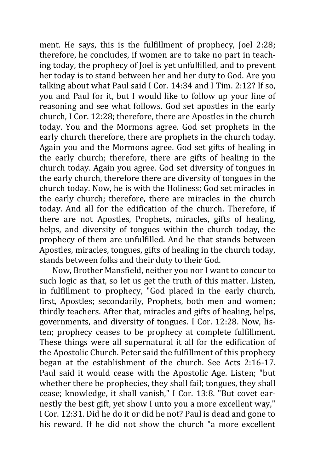ment. He says, this is the fulfillment of prophecy, Joel 2:28; therefore, he concludes, if women are to take no part in teaching today, the prophecy of Joel is yet unfulfilled, and to prevent her today is to stand between her and her duty to God. Are you talking about what Paul said I Cor. 14:34 and I Tim. 2:12? If so, you and Paul for it, but I would like to follow up your line of reasoning and see what follows. God set apostles in the early church, I Cor. 12:28; therefore, there are Apostles in the church today. You and the Mormons agree. God set prophets in the early church therefore, there are prophets in the church today. Again you and the Mormons agree. God set gifts of healing in the early church; therefore, there are gifts of healing in the church today. Again you agree. God set diversity of tongues in the early church, therefore there are diversity of tongues in the church today. Now, he is with the Holiness; God set miracles in the early church; therefore, there are miracles in the church today. And all for the edification of the church. Therefore, if there are not Apostles, Prophets, miracles, gifts of healing, helps, and diversity of tongues within the church today, the prophecy of them are unfulfilled. And he that stands between Apostles, miracles, tongues, gifts of healing in the church today, stands between folks and their duty to their God.

Now, Brother Mansfield, neither you nor I want to concur to such logic as that, so let us get the truth of this matter. Listen, in fulfillment to prophecy, "God placed in the early church, first, Apostles; secondarily, Prophets, both men and women; thirdly teachers. After that, miracles and gifts of healing, helps, governments, and diversity of tongues. I Cor. 12:28. Now, listen; prophecy ceases to be prophecy at complete fulfillment. These things were all supernatural it all for the edification of the Apostolic Church. Peter said the fulfillment of this prophecy began at the establishment of the church. See Acts 2:16-17. Paul said it would cease with the Apostolic Age. Listen; "but whether there be prophecies, they shall fail; tongues, they shall cease; knowledge, it shall vanish," I Cor. 13:8. "But covet earnestly the best gift, yet show I unto you a more excellent way," I Cor. 12:31. Did he do it or did he not? Paul is dead and gone to his reward. If he did not show the church "a more excellent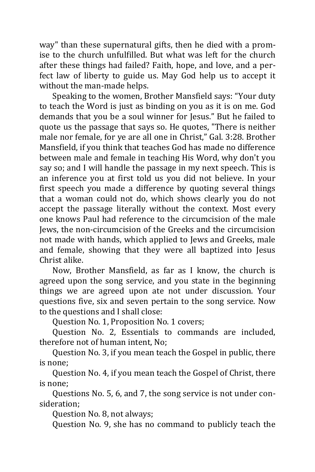way" than these supernatural gifts, then he died with a promise to the church unfulfilled. But what was left for the church after these things had failed? Faith, hope, and love, and a perfect law of liberty to guide us. May God help us to accept it without the man-made helps.

Speaking to the women, Brother Mansfield says: "Your duty to teach the Word is just as binding on you as it is on me. God demands that you be a soul winner for Jesus." But he failed to quote us the passage that says so. He quotes, "There is neither male nor female, for ye are all one in Christ," Gal. 3:28. Brother Mansfield, if you think that teaches God has made no difference between male and female in teaching His Word, why don't you say so; and I will handle the passage in my next speech. This is an inference you at first told us you did not believe. In your first speech you made a difference by quoting several things that a woman could not do, which shows clearly you do not accept the passage literally without the context. Most every one knows Paul had reference to the circumcision of the male Jews, the non-circumcision of the Greeks and the circumcision not made with hands, which applied to Jews and Greeks, male and female, showing that they were all baptized into Jesus Christ alike.

Now, Brother Mansfield, as far as I know, the church is agreed upon the song service, and you state in the beginning things we are agreed upon ate not under discussion. Your questions five, six and seven pertain to the song service. Now to the questions and I shall close:

Question No. 1, Proposition No. 1 covers;

Question No. 2, Essentials to commands are included, therefore not of human intent, No;

Question No. 3, if you mean teach the Gospel in public, there is none;

Question No. 4, if you mean teach the Gospel of Christ, there is none;

Questions No. 5, 6, and 7, the song service is not under consideration;

Question No. 8, not always;

Question No. 9, she has no command to publicly teach the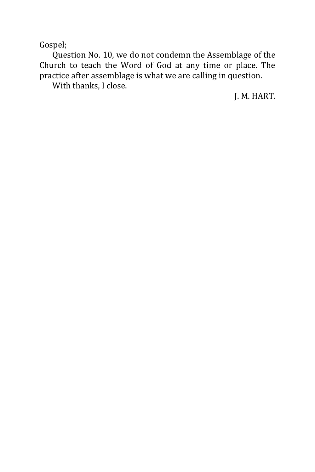Gospel;

Question No. 10, we do not condemn the Assemblage of the Church to teach the Word of God at any time or place. The practice after assemblage is what we are calling in question.

With thanks, I close.

J. M. HART.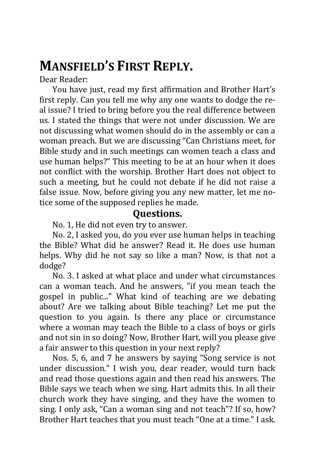# **MANSFIELD'S FIRST REPLY.**

Dear Reader:

You have just, read my first affirmation and Brother Hart's first reply. Can you tell me why any one wants to dodge the real issue? I tried to bring before you the real difference between us. I stated the things that were not under discussion. We are not discussing what women should do in the assembly or can a woman preach. But we are discussing "Can Christians meet, for Bible study and in such meetings can women teach a class and use human helps?" This meeting to be at an hour when it does not conflict with the worship. Brother Hart does not object to such a meeting, but he could not debate if he did not raise a false issue. Now, before giving you any new matter, let me notice some of the supposed replies he made.

#### **Questions.**

No. 1, He did not even try to answer.

No. 2, I asked you, do you ever use human helps in teaching the Bible? What did he answer? Read it. He does use human helps. Why did he not say so like a man? Now, is that not a dodge?

No. 3. I asked at what place and under what circumstances can a woman teach. And he answers, "if you mean teach the gospel in public..." What kind of teaching are we debating about? Are we talking about Bible teaching? Let me put the question to you again. Is there any place or circumstance where a woman may teach the Bible to a class of boys or girls and not sin in so doing? Now, Brother Hart, will you please give a fair answer to this question in your next reply?

Nos. 5, 6, and 7 he answers by saying "Song service is not under discussion." I wish you, dear reader, would turn back and read those questions again and then read his answers. The Bible says we teach when we sing. Hart admits this. In all their church work they have singing, and they have the women to sing. I only ask, "Can a woman sing and not teach"? If so, how? Brother Hart teaches that you must teach "One at a time." I ask.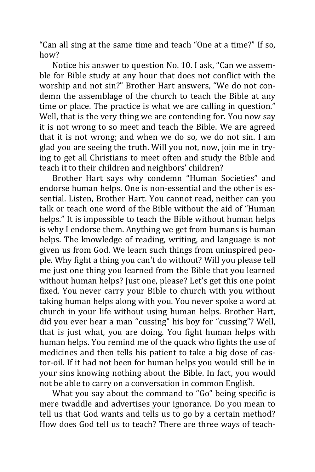"Can all sing at the same time and teach "One at a time?" If so, how?

Notice his answer to question No. 10. I ask, "Can we assemble for Bible study at any hour that does not conflict with the worship and not sin?" Brother Hart answers, "We do not condemn the assemblage of the church to teach the Bible at any time or place. The practice is what we are calling in question." Well, that is the very thing we are contending for. You now say it is not wrong to so meet and teach the Bible. We are agreed that it is not wrong; and when we do so, we do not sin. I am glad you are seeing the truth. Will you not, now, join me in trying to get all Christians to meet often and study the Bible and teach it to their children and neighbors' children?

Brother Hart says why condemn "Human Societies" and endorse human helps. One is non-essential and the other is essential. Listen, Brother Hart. You cannot read, neither can you talk or teach one word of the Bible without the aid of "Human helps." It is impossible to teach the Bible without human helps is why I endorse them. Anything we get from humans is human helps. The knowledge of reading, writing, and language is not given us from God. We learn such things from uninspired people. Why fight a thing you can't do without? Will you please tell me just one thing you learned from the Bible that you learned without human helps? Just one, please? Let's get this one point fixed. You never carry your Bible to church with you without taking human helps along with you. You never spoke a word at church in your life without using human helps. Brother Hart, did you ever hear a man "cussing" his boy for "cussing"? Well, that is just what, you are doing. You fight human helps with human helps. You remind me of the quack who fights the use of medicines and then tells his patient to take a big dose of castor-oil. If it had not been for human helps you would still be in your sins knowing nothing about the Bible. In fact, you would not be able to carry on a conversation in common English.

What you say about the command to "Go" being specific is mere twaddle and advertises your ignorance. Do you mean to tell us that God wants and tells us to go by a certain method? How does God tell us to teach? There are three ways of teach-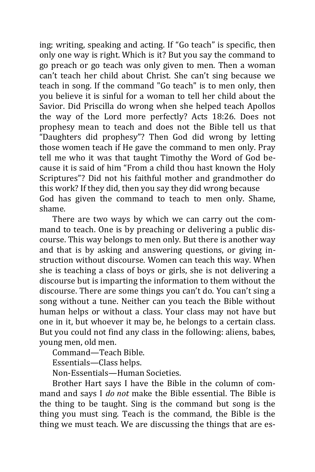ing; writing, speaking and acting. If "Go teach" is specific, then only one way is right. Which is it? But you say the command to go preach or go teach was only given to men. Then a woman can't teach her child about Christ. She can't sing because we teach in song. If the command "Go teach" is to men only, then you believe it is sinful for a woman to tell her child about the Savior. Did Priscilla do wrong when she helped teach Apollos the way of the Lord more perfectly? Acts 18:26. Does not prophesy mean to teach and does not the Bible tell us that "Daughters did prophesy"? Then God did wrong by letting those women teach if He gave the command to men only. Pray tell me who it was that taught Timothy the Word of God because it is said of him "From a child thou hast known the Holy Scriptures"? Did not his faithful mother and grandmother do this work? If they did, then you say they did wrong because God has given the command to teach to men only. Shame, shame.

There are two ways by which we can carry out the command to teach. One is by preaching or delivering a public discourse. This way belongs to men only. But there is another way and that is by asking and answering questions, or giving instruction without discourse. Women can teach this way. When she is teaching a class of boys or girls, she is not delivering a discourse but is imparting the information to them without the discourse. There are some things you can't do. You can't sing a song without a tune. Neither can you teach the Bible without human helps or without a class. Your class may not have but one in it, but whoever it may be, he belongs to a certain class. But you could not find any class in the following: aliens, babes, young men, old men.

Command—Teach Bible.

Essentials—Class helps.

Non-Essentials—Human Societies.

Brother Hart says I have the Bible in the column of command and says I *do not* make the Bible essential. The Bible is the thing to be taught. Sing is the command but song is the thing you must sing. Teach is the command, the Bible is the thing we must teach. We are discussing the things that are es-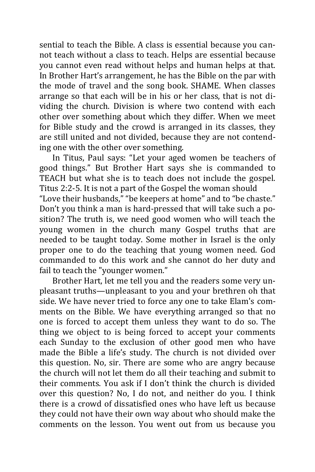sential to teach the Bible. A class is essential because you cannot teach without a class to teach. Helps are essential because you cannot even read without helps and human helps at that. In Brother Hart's arrangement, he has the Bible on the par with the mode of travel and the song book. SHAME. When classes arrange so that each will be in his or her class, that is not dividing the church. Division is where two contend with each other over something about which they differ. When we meet for Bible study and the crowd is arranged in its classes, they are still united and not divided, because they are not contending one with the other over something.

In Titus, Paul says: "Let your aged women be teachers of good things." But Brother Hart says she is commanded to TEACH but what she is to teach does not include the gospel. Titus 2:2-5. It is not a part of the Gospel the woman should "Love their husbands," "be keepers at home" and to "be chaste." Don't you think a man is hard-pressed that will take such a position? The truth is, we need good women who will teach the young women in the church many Gospel truths that are needed to be taught today. Some mother in Israel is the only proper one to do the teaching that young women need. God commanded to do this work and she cannot do her duty and fail to teach the "younger women."

Brother Hart, let me tell you and the readers some very unpleasant truths—unpleasant to you and your brethren oh that side. We have never tried to force any one to take Elam's comments on the Bible. We have everything arranged so that no one is forced to accept them unless they want to do so. The thing we object to is being forced to accept your comments each Sunday to the exclusion of other good men who have made the Bible a life's study. The church is not divided over this question. No, sir. There are some who are angry because the church will not let them do all their teaching and submit to their comments. You ask if I don't think the church is divided over this question? No, I do not, and neither do you. I think there is a crowd of dissatisfied ones who have left us because they could not have their own way about who should make the comments on the lesson. You went out from us because you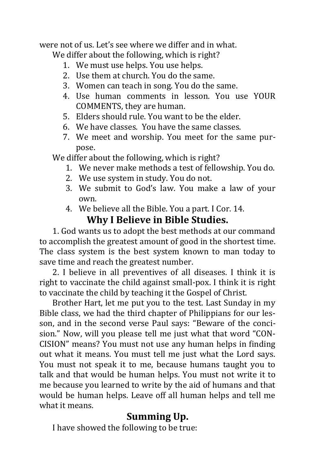were not of us. Let's see where we differ and in what.

We differ about the following, which is right?

- 1. We must use helps. You use helps.
- 2. Use them at church. You do the same.
- 3. Women can teach in song. You do the same.
- 4. Use human comments in lesson. You use YOUR COMMENTS, they are human.
- 5. Elders should rule. You want to be the elder.
- 6. We have classes. You have the same classes.
- 7. We meet and worship. You meet for the same purpose.

We differ about the following, which is right?

- 1. We never make methods a test of fellowship. You do.
- 2. We use system in study. You do not.
- 3. We submit to God's law. You make a law of your own.
- 4. We believe all the Bible. You a part. I Cor. 14.

### **Why I Believe in Bible Studies.**

1. God wants us to adopt the best methods at our command to accomplish the greatest amount of good in the shortest time. The class system is the best system known to man today to save time and reach the greatest number.

2. I believe in all preventives of all diseases. I think it is right to vaccinate the child against small-pox. I think it is right to vaccinate the child by teaching it the Gospel of Christ.

Brother Hart, let me put you to the test. Last Sunday in my Bible class, we had the third chapter of Philippians for our lesson, and in the second verse Paul says: "Beware of the concision." Now, will you please tell me just what that word "CON-CISION" means? You must not use any human helps in finding out what it means. You must tell me just what the Lord says. You must not speak it to me, because humans taught you to talk and that would be human helps. You must not write it to me because you learned to write by the aid of humans and that would be human helps. Leave off all human helps and tell me what it means.

### **Summing Up.**

I have showed the following to be true: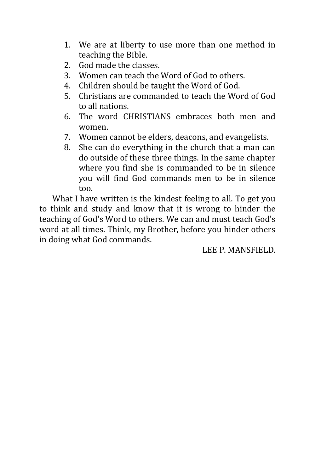- 1. We are at liberty to use more than one method in teaching the Bible.
- 2. God made the classes.
- 3. Women can teach the Word of God to others.
- 4. Children should be taught the Word of God.
- 5. Christians are commanded to teach the Word of God to all nations.
- 6. The word CHRISTIANS embraces both men and women.
- 7. Women cannot be elders, deacons, and evangelists.
- 8. She can do everything in the church that a man can do outside of these three things. In the same chapter where you find she is commanded to be in silence you will find God commands men to be in silence too.

What I have written is the kindest feeling to all. To get you to think and study and know that it is wrong to hinder the teaching of God's Word to others. We can and must teach God's word at all times. Think, my Brother, before you hinder others in doing what God commands.

LEE P. MANSFIELD.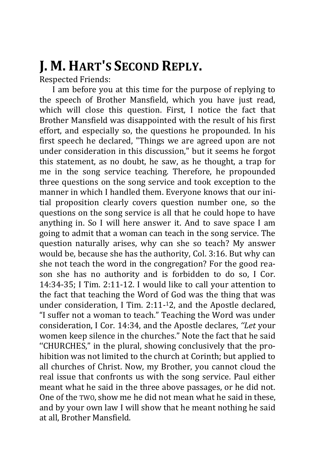# **J. M. HART'S SECOND REPLY.**

Respected Friends:

I am before you at this time for the purpose of replying to the speech of Brother Mansfield, which you have just read, which will close this question. First, I notice the fact that Brother Mansfield was disappointed with the result of his first effort, and especially so, the questions he propounded. In his first speech he declared, "Things we are agreed upon are not under consideration in this discussion," but it seems he forgot this statement, as no doubt, he saw, as he thought, a trap for me in the song service teaching. Therefore, he propounded three questions on the song service and took exception to the manner in which I handled them. Everyone knows that our initial proposition clearly covers question number one, so the questions on the song service is all that he could hope to have anything in. So I will here answer it. And to save space I am going to admit that a woman can teach in the song service. The question naturally arises, why can she so teach? My answer would be, because she has the authority, Col. 3:16. But why can she not teach the word in the congregation? For the good reason she has no authority and is forbidden to do so, I Cor. 14:34-35; I Tim. 2:11-12. I would like to call your attention to the fact that teaching the Word of God was the thing that was under consideration, I Tim. 2:11- <sup>1</sup>2, and the Apostle declared, "I suffer not a woman to teach." Teaching the Word was under consideration, I Cor. 14:34, and the Apostle declares, *''Let* your women keep silence in the churches." Note the fact that he said ''CHURCHES," in the plural, showing conclusively that the prohibition was not limited to the church at Corinth; but applied to all churches of Christ. Now, my Brother, you cannot cloud the real issue that confronts us with the song service. Paul either meant what he said in the three above passages, or he did not. One of the TWO, show me he did not mean what he said in these, and by your own law I will show that he meant nothing he said at all, Brother Mansfield.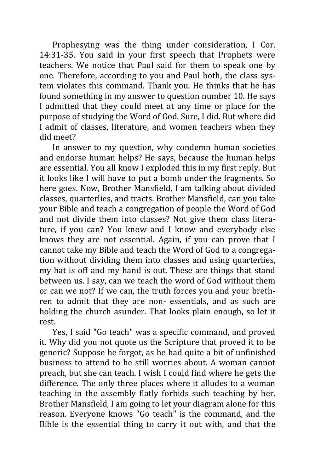Prophesying was the thing under consideration, I Cor. 14:31-35. You said in your first speech that Prophets were teachers. We notice that Paul said for them to speak one by one. Therefore, according to you and Paul both, the class system violates this command. Thank you. He thinks that he has found something in my answer to question number 10. He says I admitted that they could meet at any time or place for the purpose of studying the Word of God. Sure, I did. But where did I admit of classes, literature, and women teachers when they did meet?

In answer to my question, why condemn human societies and endorse human helps? He says, because the human helps are essential. You all know I exploded this in my first reply. But it looks like I will have to put a bomb under the fragments. So here goes. Now, Brother Mansfield, I am talking about divided classes, quarterlies, and tracts. Brother Mansfield, can you take your Bible and teach a congregation of people the Word of God and not divide them into classes? Not give them class literature, if you can? You know and I know and everybody else knows they are not essential. Again, if you can prove that I cannot take my Bible and teach the Word of God to a congregation without dividing them into classes and using quarterlies, my hat is off and my hand is out. These are things that stand between us. I say, can we teach the word of God without them or can we not? If we can, the truth forces you and your brethren to admit that they are non- essentials, and as such are holding the church asunder. That looks plain enough, so let it rest.

Yes, I said "Go teach" was a specific command, and proved it. Why did you not quote us the Scripture that proved it to be generic? Suppose he forgot, as he had quite a bit of unfinished business to attend to he still worries about. A woman cannot preach, but she can teach. I wish I could find where he gets the difference. The only three places where it alludes to a woman teaching in the assembly flatly forbids such teaching by her. Brother Mansfield, I am going to let your diagram alone for this reason. Everyone knows "Go teach" is the command, and the Bible is the essential thing to carry it out with, and that the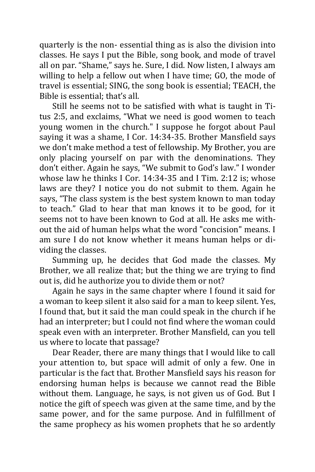quarterly is the non- essential thing as is also the division into classes. He says I put the Bible, song book, and mode of travel all on par. "Shame," says he. Sure, I did. Now listen, I always am willing to help a fellow out when I have time; GO, the mode of travel is essential; SING, the song book is essential; TEACH, the Bible is essential; that's all.

Still he seems not to be satisfied with what is taught in Titus 2:5, and exclaims, "What we need is good women to teach young women in the church." I suppose he forgot about Paul saying it was a shame, I Cor. 14:34-35. Brother Mansfield says we don't make method a test of fellowship. My Brother, you are only placing yourself on par with the denominations. They don't either. Again he says, "We submit to God's law." I wonder whose law he thinks I Cor. 14:34-35 and I Tim. 2:12 is; whose laws are they? I notice you do not submit to them. Again he says, "The class system is the best system known to man today to teach." Glad to hear that man knows it to be good, for it seems not to have been known to God at all. He asks me without the aid of human helps what the word "concision" means. I am sure I do not know whether it means human helps or dividing the classes.

Summing up, he decides that God made the classes. My Brother, we all realize that; but the thing we are trying to find out is, did he authorize you to divide them or not?

Again he says in the same chapter where I found it said for a woman to keep silent it also said for a man to keep silent. Yes, I found that, but it said the man could speak in the church if he had an interpreter; but I could not find where the woman could speak even with an interpreter. Brother Mansfield, can you tell us where to locate that passage?

Dear Reader, there are many things that I would like to call your attention to, but space will admit of only a few. One in particular is the fact that. Brother Mansfield says his reason for endorsing human helps is because we cannot read the Bible without them. Language, he says, is not given us of God. But I notice the gift of speech was given at the same time, and by the same power, and for the same purpose. And in fulfillment of the same prophecy as his women prophets that he so ardently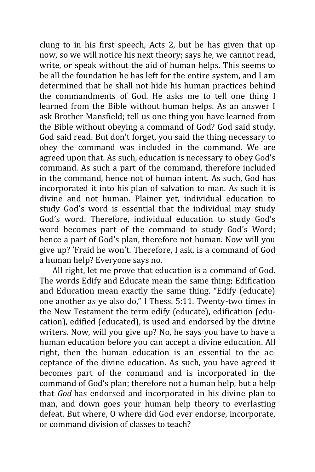clung to in his first speech, Acts 2, but he has given that up now, so we will notice his next theory; says he, we cannot read, write, or speak without the aid of human helps. This seems to be all the foundation he has left for the entire system, and I am determined that he shall not hide his human practices behind the commandments of God. He asks me to tell one thing I learned from the Bible without human helps. As an answer I ask Brother Mansfield; tell us one thing you have learned from the Bible without obeying a command of God? God said study. God said read. But don't forget, you said the thing necessary to obey the command was included in the command. We are agreed upon that. As such, education is necessary to obey God's command. As such a part of the command, therefore included in the command, hence not of human intent. As such, God has incorporated it into his plan of salvation to man. As such it is divine and not human. Plainer yet, individual education to study God's word is essential that the individual may study God's word. Therefore, individual education to study God's word becomes part of the command to study God's Word; hence a part of God's plan, therefore not human. Now will you give up? 'Fraid he won't. Therefore, I ask, is a command of God a human help? Everyone says no.

All right, let me prove that education is a command of God. The words Edify and Educate mean the same thing; Edification and Education mean exactly the same thing. "Edify (educate) one another as ye also do," I Thess. 5:11. Twenty-two times in the New Testament the term edify (educate), edification (education), edified (educated), is used and endorsed by the divine writers. Now, will you give up? No, he says you have to have a human education before you can accept a divine education. All right, then the human education is an essential to the acceptance of the divine education. As such, you have agreed it becomes part of the command and is incorporated in the command of God's plan; therefore not a human help, but a help that *God* has endorsed and incorporated in his divine plan to man, and down goes your human help theory to everlasting defeat. But where, O where did God ever endorse, incorporate, or command division of classes to teach?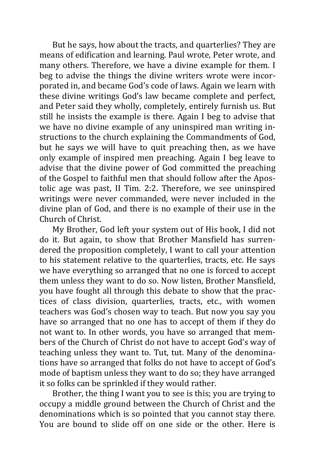But he says, how about the tracts, and quarterlies? They are means of edification and learning. Paul wrote, Peter wrote, and many others. Therefore, we have a divine example for them. I beg to advise the things the divine writers wrote were incorporated in, and became God's code of laws. Again we learn with these divine writings God's law became complete and perfect, and Peter said they wholly, completely, entirely furnish us. But still he insists the example is there. Again I beg to advise that we have no divine example of any uninspired man writing instructions to the church explaining the Commandments of God, but he says we will have to quit preaching then, as we have only example of inspired men preaching. Again I beg leave to advise that the divine power of God committed the preaching of the Gospel to faithful men that should follow after the Apostolic age was past, II Tim. 2:2. Therefore, we see uninspired writings were never commanded, were never included in the divine plan of God, and there is no example of their use in the Church of Christ.

My Brother, God left your system out of His book, I did not do it. But again, to show that Brother Mansfield has surrendered the proposition completely, I want to call your attention to his statement relative to the quarterlies, tracts, etc. He says we have everything so arranged that no one is forced to accept them unless they want to do so. Now listen, Brother Mansfield, you have fought all through this debate to show that the practices of class division, quarterlies, tracts, etc., with women teachers was God's chosen way to teach. But now you say you have so arranged that no one has to accept of them if they do not want to. In other words, you have so arranged that members of the Church of Christ do not have to accept God's way of teaching unless they want to. Tut, tut. Many of the denominations have so arranged that folks do not have to accept of God's mode of baptism unless they want to do so; they have arranged it so folks can be sprinkled if they would rather.

Brother, the thing I want you to see is this; you are trying to occupy a middle ground between the Church of Christ and the denominations which is so pointed that you cannot stay there. You are bound to slide off on one side or the other. Here is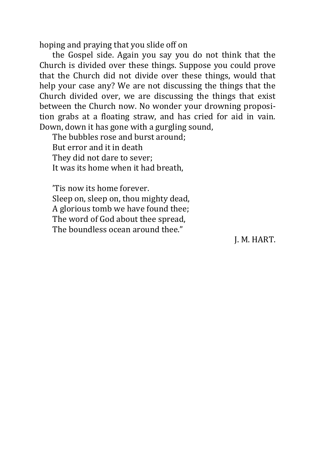hoping and praying that you slide off on

the Gospel side. Again you say you do not think that the Church is divided over these things. Suppose you could prove that the Church did not divide over these things, would that help your case any? We are not discussing the things that the Church divided over, we are discussing the things that exist between the Church now. No wonder your drowning proposition grabs at a floating straw, and has cried for aid in vain. Down, down it has gone with a gurgling sound,

The bubbles rose and burst around; But error and it in death They did not dare to sever; It was its home when it had breath,

'Tis now its home forever. Sleep on, sleep on, thou mighty dead, A glorious tomb we have found thee; The word of God about thee spread, The boundless ocean around thee."

J. M. HART.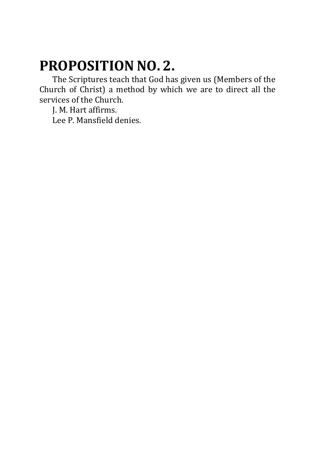# **PROPOSITION NO. 2.**

The Scriptures teach that God has given us (Members of the Church of Christ) a method by which we are to direct all the services of the Church.

J. M. Hart affirms. Lee P. Mansfield denies.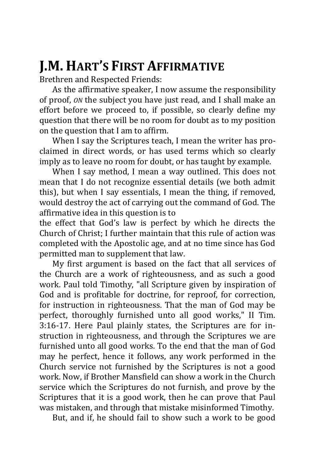# **J.M. HART'S FIRST AFFIRMATIVE**

Brethren and Respected Friends:

As the affirmative speaker, I now assume the responsibility of proof, *ON* the subject you have just read, and I shall make an effort before we proceed to, if possible, so clearly define my question that there will be no room for doubt as to my position on the question that I am to affirm.

When I say the Scriptures teach, I mean the writer has proclaimed in direct words, or has used terms which so clearly imply as to leave no room for doubt, or has taught by example.

When I say method, I mean a way outlined. This does not mean that I do not recognize essential details (we both admit this), but when I say essentials, I mean the thing, if removed, would destroy the act of carrying out the command of God. The affirmative idea in this question is to

the effect that God's law is perfect by which he directs the Church of Christ; I further maintain that this rule of action was completed with the Apostolic age, and at no time since has God permitted man to supplement that law.

My first argument is based on the fact that all services of the Church are a work of righteousness, and as such a good work. Paul told Timothy, "all Scripture given by inspiration of God and is profitable for doctrine, for reproof, for correction, for instruction in righteousness. That the man of God may be perfect, thoroughly furnished unto all good works," II Tim. 3:16-17. Here Paul plainly states, the Scriptures are for instruction in righteousness, and through the Scriptures we are furnished unto all good works. To the end that the man of God may he perfect, hence it follows, any work performed in the Church service not furnished by the Scriptures is not a good work. Now, if Brother Mansfield can show a work in the Church service which the Scriptures do not furnish, and prove by the Scriptures that it is a good work, then he can prove that Paul was mistaken, and through that mistake misinformed Timothy.

But, and if, he should fail to show such a work to be good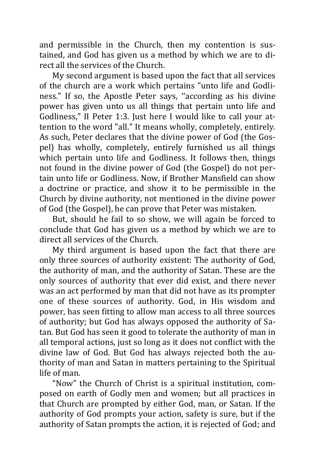and permissible in the Church, then my contention is sustained, and God has given us a method by which we are to direct all the services of the Church.

My second argument is based upon the fact that all services of the church are a work which pertains "unto life and Godliness." If so, the Apostle Peter says, ''according as his divine power has given unto us all things that pertain unto life and Godliness," II Peter 1:3. Just here I would like to call your attention to the word "all." It means wholly, completely, entirely. As such, Peter declares that the divine power of God (the Gospel) has wholly, completely, entirely furnished us all things which pertain unto life and Godliness. It follows then, things not found in the divine power of God (the Gospel) do not pertain unto life or Godliness. Now, if Brother Mansfield can show a doctrine or practice, and show it to be permissible in the Church by divine authority, not mentioned in the divine power of God (the Gospel), he can prove that Peter was mistaken.

But, should he fail to so show, we will again be forced to conclude that God has given us a method by which we are to direct all services of the Church.

My third argument is based upon the fact that there are only three sources of authority existent: The authority of God, the authority of man, and the authority of Satan. These are the only sources of authority that ever did exist, and there never was an act performed by man that did not have as its prompter one of these sources of authority. God, in His wisdom and power, has seen fitting to allow man access to all three sources of authority; but God has always opposed the authority of Satan. But God has seen it good to tolerate the authority of man in all temporal actions, just so long as it does not conflict with the divine law of God. But God has always rejected both the authority of man and Satan in matters pertaining to the Spiritual life of man.

"Now" the Church of Christ is a spiritual institution, composed on earth of Godly men and women; but all practices in that Church are prompted by either God, man, or Satan. If the authority of God prompts your action, safety is sure, but if the authority of Satan prompts the action, it is rejected of God; and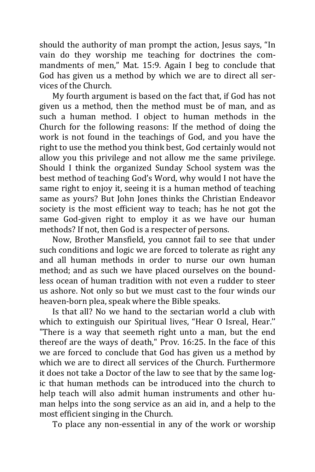should the authority of man prompt the action, Jesus says, "In vain do they worship me teaching for doctrines the commandments of men," Mat. 15:9. Again I beg to conclude that God has given us a method by which we are to direct all services of the Church.

My fourth argument is based on the fact that, if God has not given us a method, then the method must be of man, and as such a human method. I object to human methods in the Church for the following reasons: If the method of doing the work is not found in the teachings of God, and you have the right to use the method you think best, God certainly would not allow you this privilege and not allow me the same privilege. Should I think the organized Sunday School system was the best method of teaching God's Word, why would I not have the same right to enjoy it, seeing it is a human method of teaching same as yours? But John Jones thinks the Christian Endeavor society is the most efficient way to teach; has he not got the same God-given right to employ it as we have our human methods? If not, then God is a respecter of persons.

Now, Brother Mansfield, you cannot fail to see that under such conditions and logic we are forced to tolerate as right any and all human methods in order to nurse our own human method; and as such we have placed ourselves on the boundless ocean of human tradition with not even a rudder to steer us ashore. Not only so but we must cast to the four winds our heaven-born plea, speak where the Bible speaks.

Is that all? No we hand to the sectarian world a club with which to extinguish our Spiritual lives, "Hear O Isreal, Hear.'' "There is a way that seemeth right unto a man, but the end thereof are the ways of death," Prov. 16:25. In the face of this we are forced to conclude that God has given us a method by which we are to direct all services of the Church. Furthermore it does not take a Doctor of the law to see that by the same logic that human methods can be introduced into the church to help teach will also admit human instruments and other human helps into the song service as an aid in, and a help to the most efficient singing in the Church.

To place any non-essential in any of the work or worship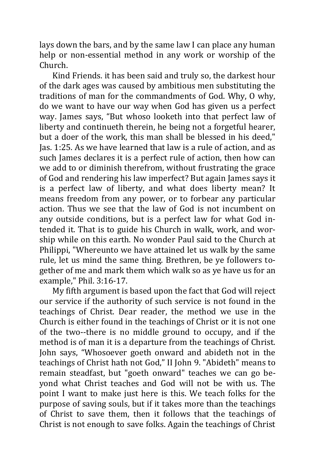lays down the bars, and by the same law I can place any human help or non-essential method in any work or worship of the Church.

Kind Friends. it has been said and truly so, the darkest hour of the dark ages was caused by ambitious men substituting the traditions of man for the commandments of God. Why, O why, do we want to have our way when God has given us a perfect way. James says, "But whoso looketh into that perfect law of liberty and continueth therein, he being not a forgetful hearer, but a doer of the work, this man shall be blessed in his deed," Jas. 1:25. As we have learned that law is a rule of action, and as such James declares it is a perfect rule of action, then how can we add to or diminish therefrom, without frustrating the grace of God and rendering his law imperfect? But again James says it is a perfect law of liberty, and what does liberty mean? It means freedom from any power, or to forbear any particular action. Thus we see that the law of God is not incumbent on any outside conditions, but is a perfect law for what God intended it. That is to guide his Church in walk, work, and worship while on this earth. No wonder Paul said to the Church at Philippi, "Whereunto we have attained let us walk by the same rule, let us mind the same thing. Brethren, be ye followers together of me and mark them which walk so as ye have us for an example," Phil. 3:16-17.

My fifth argument is based upon the fact that God will reject our service if the authority of such service is not found in the teachings of Christ. Dear reader, the method we use in the Church is either found in the teachings of Christ or it is not one of the two--there is no middle ground to occupy, and if the method is of man it is a departure from the teachings of Christ. John says, "Whosoever goeth onward and abideth not in the teachings of Christ hath not God," II John 9. "Abideth" means to remain steadfast, but "goeth onward" teaches we can go beyond what Christ teaches and God will not be with us. The point I want to make just here is this. We teach folks for the purpose of saving souls, but if it takes more than the teachings of Christ to save them, then it follows that the teachings of Christ is not enough to save folks. Again the teachings of Christ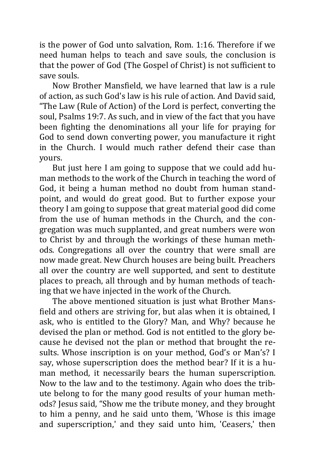is the power of God unto salvation, Rom. 1:16. Therefore if we need human helps to teach and save souls, the conclusion is that the power of God (The Gospel of Christ) is not sufficient to save souls.

Now Brother Mansfield, we have learned that law is a rule of action, as such God's law is his rule of action. And David said, "The Law (Rule of Action) of the Lord is perfect, converting the soul, Psalms 19:7. As such, and in view of the fact that you have been fighting the denominations all your life for praying for God to send down converting power, you manufacture it right in the Church. I would much rather defend their case than yours.

But just here I am going to suppose that we could add human methods to the work of the Church in teaching the word of God, it being a human method no doubt from human standpoint, and would do great good. But to further expose your theory I am going to suppose that great material good did come from the use of human methods in the Church, and the congregation was much supplanted, and great numbers were won to Christ by and through the workings of these human methods. Congregations all over the country that were small are now made great. New Church houses are being built. Preachers all over the country are well supported, and sent to destitute places to preach, all through and by human methods of teaching that we have injected in the work of the Church.

The above mentioned situation is just what Brother Mansfield and others are striving for, but alas when it is obtained, I ask, who is entitled to the Glory? Man, and Why? because he devised the plan or method. God is not entitled to the glory because he devised not the plan or method that brought the results. Whose inscription is on your method, God's or Man's? I say, whose superscription does the method bear? If it is a human method, it necessarily bears the human superscription. Now to the law and to the testimony. Again who does the tribute belong to for the many good results of your human methods? Jesus said, "Show me the tribute money, and they brought to him a penny, and he said unto them, 'Whose is this image and superscription,' and they said unto him, 'Ceasers,' then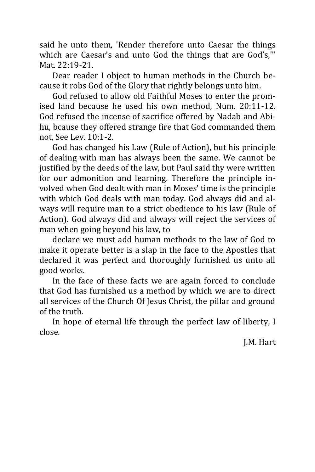said he unto them, 'Render therefore unto Caesar the things which are Caesar's and unto God the things that are God's,'" Mat. 22:19-21.

Dear reader I object to human methods in the Church because it robs God of the Glory that rightly belongs unto him.

God refused to allow old Faithful Moses to enter the promised land because he used his own method, Num. 20:11-12. God refused the incense of sacrifice offered by Nadab and Abihu, bcause they offered strange fire that God commanded them not, See Lev. 10:1-2.

God has changed his Law (Rule of Action), but his principle of dealing with man has always been the same. We cannot be justified by the deeds of the law, but Paul said thy were written for our admonition and learning. Therefore the principle involved when God dealt with man in Moses' time is the principle with which God deals with man today. God always did and always will require man to a strict obedience to his law (Rule of Action). God always did and always will reject the services of man when going beyond his law, to

declare we must add human methods to the law of God to make it operate better is a slap in the face to the Apostles that declared it was perfect and thoroughly furnished us unto all good works.

In the face of these facts we are again forced to conclude that God has furnished us a method by which we are to direct all services of the Church Of Jesus Christ, the pillar and ground of the truth.

In hope of eternal life through the perfect law of liberty, I close.

J.M. Hart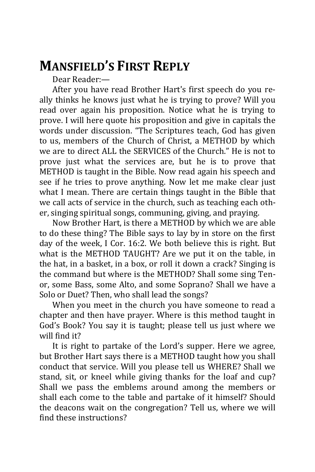## **MANSFIELD'S FIRST REPLY**

Dear Reader:—

After you have read Brother Hart's first speech do you really thinks he knows just what he is trying to prove? Will you read over again his proposition. Notice what he is trying to prove. I will here quote his proposition and give in capitals the words under discussion. "The Scriptures teach, God has given to us, members of the Church of Christ, a METHOD by which we are to direct ALL the SERVICES of the Church." He is not to prove just what the services are, but he is to prove that METHOD is taught in the Bible. Now read again his speech and see if he tries to prove anything. Now let me make clear just what I mean. There are certain things taught in the Bible that we call acts of service in the church, such as teaching each other, singing spiritual songs, communing, giving, and praying.

Now Brother Hart, is there a METHOD by which we are able to do these thing? The Bible says to lay by in store on the first day of the week, I Cor. 16:2. We both believe this is right. But what is the METHOD TAUGHT? Are we put it on the table, in the hat, in a basket, in a box, or roll it down a crack? Singing is the command but where is the METHOD? Shall some sing Tenor, some Bass, some Alto, and some Soprano? Shall we have a Solo or Duet? Then, who shall lead the songs?

When you meet in the church you have someone to read a chapter and then have prayer. Where is this method taught in God's Book? You say it is taught; please tell us just where we will find it?

It is right to partake of the Lord's supper. Here we agree, but Brother Hart says there is a METHOD taught how you shall conduct that service. Will you please tell us WHERE? Shall we stand, sit, or kneel while giving thanks for the loaf and cup? Shall we pass the emblems around among the members or shall each come to the table and partake of it himself? Should the deacons wait on the congregation? Tell us, where we will find these instructions?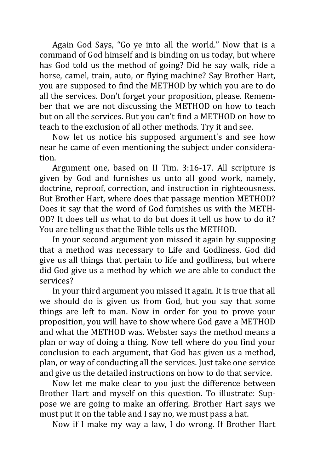Again God Says, "Go ye into all the world." Now that is a command of God himself and is binding on us today, but where has God told us the method of going? Did he say walk, ride a horse, camel, train, auto, or flying machine? Say Brother Hart, you are supposed to find the METHOD by which you are to do all the services. Don't forget your proposition, please. Remember that we are not discussing the METHOD on how to teach but on all the services. But you can't find a METHOD on how to teach to the exclusion of all other methods. Try it and see.

Now let us notice his supposed argument's and see how near he came of even mentioning the subject under consideration.

Argument one, based on II Tim. 3:16-17. All scripture is given by God and furnishes us unto all good work, namely, doctrine, reproof, correction, and instruction in righteousness. But Brother Hart, where does that passage mention METHOD? Does it say that the word of God furnishes us with the METH-OD? It does tell us what to do but does it tell us how to do it? You are telling us that the Bible tells us the METHOD.

In your second argument yon missed it again by supposing that a method was necessary to Life and Godliness. God did give us all things that pertain to life and godliness, but where did God give us a method by which we are able to conduct the services?

In your third argument you missed it again. It is true that all we should do is given us from God, but you say that some things are left to man. Now in order for you to prove your proposition, you will have to show where God gave a METHOD and what the METHOD was. Webster says the method means a plan or way of doing a thing. Now tell where do you find your conclusion to each argument, that God has given us a method, plan, or way of conducting all the services. Just take one service and give us the detailed instructions on how to do that service.

Now let me make clear to you just the difference between Brother Hart and myself on this question. To illustrate: Suppose we are going to make an offering. Brother Hart says we must put it on the table and I say no, we must pass a hat.

Now if I make my way a law, I do wrong. If Brother Hart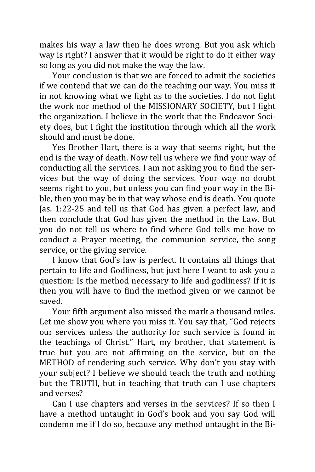makes his way a law then he does wrong. But you ask which way is right? I answer that it would be right to do it either way so long as you did not make the way the law.

Your conclusion is that we are forced to admit the societies if we contend that we can do the teaching our way. You miss it in not knowing what we fight as to the societies. I do not fight the work nor method of the MISSIONARY SOCIETY, but I fight the organization. I believe in the work that the Endeavor Society does, but I fight the institution through which all the work should and must be done.

Yes Brother Hart, there is a way that seems right, but the end is the way of death. Now tell us where we find your way of conducting all the services. I am not asking you to find the services but the way of doing the services. Your way no doubt seems right to you, but unless you can find your way in the Bible, then you may be in that way whose end is death. You quote Jas. 1:22-25 and tell us that God has given a perfect law, and then conclude that God has given the method in the Law. But you do not tell us where to find where God tells me how to conduct a Prayer meeting, the communion service, the song service, or the giving service.

I know that God's law is perfect. It contains all things that pertain to life and Godliness, but just here I want to ask you a question: Is the method necessary to life and godliness? If it is then you will have to find the method given or we cannot be saved.

Your fifth argument also missed the mark a thousand miles. Let me show you where you miss it. You say that, "God rejects our services unless the authority for such service is found in the teachings of Christ." Hart, my brother, that statement is true but you are not affirming on the service, but on the METHOD of rendering such service. Why don't you stay with your subject? I believe we should teach the truth and nothing but the TRUTH, but in teaching that truth can I use chapters and verses?

Can I use chapters and verses in the services? If so then I have a method untaught in God's book and you say God will condemn me if I do so, because any method untaught in the Bi-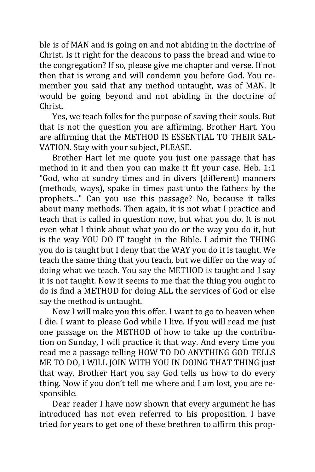ble is of MAN and is going on and not abiding in the doctrine of Christ. Is it right for the deacons to pass the bread and wine to the congregation? If so, please give me chapter and verse. If not then that is wrong and will condemn you before God. You remember you said that any method untaught, was of MAN. It would be going beyond and not abiding in the doctrine of Christ.

Yes, we teach folks for the purpose of saving their souls. But that is not the question you are affirming. Brother Hart. You are affirming that the METHOD IS ESSENTIAL TO THEIR SAL-VATION. Stay with your subject, PLEASE.

Brother Hart let me quote you just one passage that has method in it and then you can make it fit your case. Heb. 1:1 "God, who at sundry times and in divers (different) manners (methods, ways), spake in times past unto the fathers by the prophets..." Can you use this passage? No, because it talks about many methods. Then again, it is not what I practice and teach that is called in question now, but what you do. It is not even what I think about what you do or the way you do it, but is the way YOU DO IT taught in the Bible. I admit the THING you do is taught but I deny that the WAY you do it is taught. We teach the same thing that you teach, but we differ on the way of doing what we teach. You say the METHOD is taught and I say it is not taught. Now it seems to me that the thing you ought to do is find a METHOD for doing ALL the services of God or else say the method is untaught.

Now I will make you this offer. I want to go to heaven when I die. I want to please God while I live. If you will read me just one passage on the METHOD of how to take up the contribution on Sunday, I will practice it that way. And every time you read me a passage telling HOW TO DO ANYTHING GOD TELLS ME TO DO, I WILL JOIN WITH YOU IN DOING THAT THING just that way. Brother Hart you say God tells us how to do every thing. Now if you don't tell me where and I am lost, you are responsible.

Dear reader I have now shown that every argument he has introduced has not even referred to his proposition. I have tried for years to get one of these brethren to affirm this prop-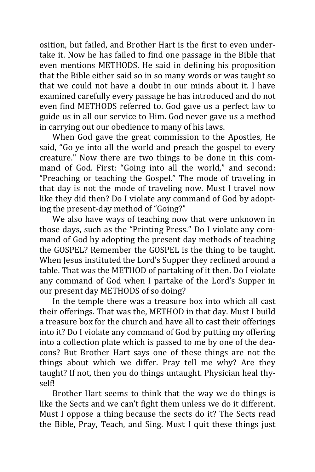osition, but failed, and Brother Hart is the first to even undertake it. Now he has failed to find one passage in the Bible that even mentions METHODS. He said in defining his proposition that the Bible either said so in so many words or was taught so that we could not have a doubt in our minds about it. I have examined carefully every passage he has introduced and do not even find METHODS referred to. God gave us a perfect law to guide us in all our service to Him. God never gave us a method in carrying out our obedience to many of his laws.

When God gave the great commission to the Apostles, He said, "Go ye into all the world and preach the gospel to every creature." Now there are two things to be done in this command of God. First: "Going into all the world," and second: "Preaching or teaching the Gospel." The mode of traveling in that day is not the mode of traveling now. Must I travel now like they did then? Do I violate any command of God by adopting the present-day method of "Going?"

We also have ways of teaching now that were unknown in those days, such as the "Printing Press." Do I violate any command of God by adopting the present day methods of teaching the GOSPEL? Remember the GOSPEL is the thing to be taught. When Jesus instituted the Lord's Supper they reclined around a table. That was the METHOD of partaking of it then. Do I violate any command of God when I partake of the Lord's Supper in our present day METHODS of so doing?

In the temple there was a treasure box into which all cast their offerings. That was the, METHOD in that day. Must I build a treasure box for the church and have all to cast their offerings into it? Do I violate any command of God by putting my offering into a collection plate which is passed to me by one of the deacons? But Brother Hart says one of these things are not the things about which we differ. Pray tell me why? Are they taught? If not, then you do things untaught. Physician heal thyself!

Brother Hart seems to think that the way we do things is like the Sects and we can't fight them unless we do it different. Must I oppose a thing because the sects do it? The Sects read the Bible, Pray, Teach, and Sing. Must I quit these things just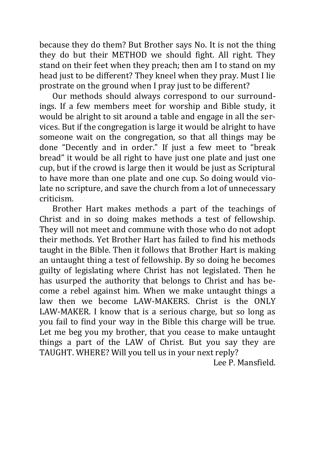because they do them? But Brother says No. It is not the thing they do but their METHOD we should fight. All right. They stand on their feet when they preach; then am I to stand on my head just to be different? They kneel when they pray. Must I lie prostrate on the ground when I pray just to be different?

Our methods should always correspond to our surroundings. If a few members meet for worship and Bible study, it would be alright to sit around a table and engage in all the services. But if the congregation is large it would be alright to have someone wait on the congregation, so that all things may be done "Decently and in order." If just a few meet to "break bread" it would be all right to have just one plate and just one cup, but if the crowd is large then it would be just as Scriptural to have more than one plate and one cup. So doing would violate no scripture, and save the church from a lot of unnecessary criticism.

Brother Hart makes methods a part of the teachings of Christ and in so doing makes methods a test of fellowship. They will not meet and commune with those who do not adopt their methods. Yet Brother Hart has failed to find his methods taught in the Bible. Then it follows that Brother Hart is making an untaught thing a test of fellowship. By so doing he becomes guilty of legislating where Christ has not legislated. Then he has usurped the authority that belongs to Christ and has become a rebel against him. When we make untaught things a law then we become LAW-MAKERS. Christ is the ONLY LAW-MAKER. I know that is a serious charge, but so long as you fail to find your way in the Bible this charge will be true. Let me beg you my brother, that you cease to make untaught things a part of the LAW of Christ. But you say they are TAUGHT. WHERE? Will you tell us in your next reply?

Lee P. Mansfield.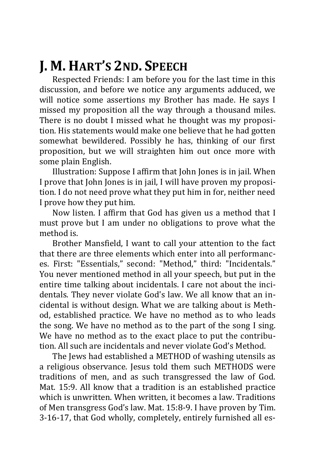# **J. M. HART'S 2ND. SPEECH**

Respected Friends: I am before you for the last time in this discussion, and before we notice any arguments adduced, we will notice some assertions my Brother has made. He says I missed my proposition all the way through a thousand miles. There is no doubt I missed what he thought was my proposition. His statements would make one believe that he had gotten somewhat bewildered. Possibly he has, thinking of our first proposition, but we will straighten him out once more with some plain English.

Illustration: Suppose I affirm that John Jones is in jail. When I prove that John Jones is in jail, I will have proven my proposition. I do not need prove what they put him in for, neither need I prove how they put him.

Now listen. I affirm that God has given us a method that I must prove but I am under no obligations to prove what the method is.

Brother Mansfield, I want to call your attention to the fact that there are three elements which enter into all performances. First: "Essentials," second: "Method," third: "Incidentals." You never mentioned method in all your speech, but put in the entire time talking about incidentals. I care not about the incidentals. They never violate God's law. We all know that an incidental is without design. What we are talking about is Method, established practice. We have no method as to who leads the song. We have no method as to the part of the song I sing. We have no method as to the exact place to put the contribution. All such are incidentals and never violate God's Method.

The Jews had established a METHOD of washing utensils as a religious observance. Jesus told them such METHODS were traditions of men, and as such transgressed the law of God. Mat. 15:9. All know that a tradition is an established practice which is unwritten. When written, it becomes a law. Traditions of Men transgress God's law. Mat. 15:8-9. I have proven by Tim. 3-16-17, that God wholly, completely, entirely furnished all es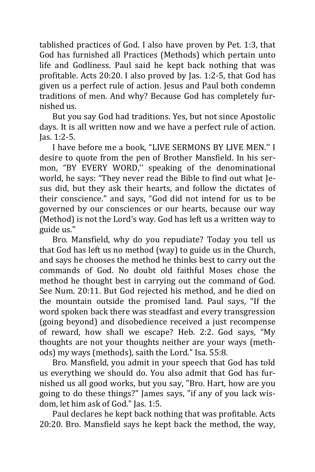tablished practices of God. I also have proven by Pet. 1:3, that God has furnished all Practices (Methods) which pertain unto life and Godliness. Paul said he kept back nothing that was profitable. Acts 20:20. I also proved by Jas. 1:2-5, that God has given us a perfect rule of action. Jesus and Paul both condemn traditions of men. And why? Because God has completely furnished us.

But you say God had traditions. Yes, but not since Apostolic days. It is all written now and we have a perfect rule of action. Jas. 1:2-5.

I have before me a book, "LIVE SERMONS BY LIVE MEN.'' I desire to quote from the pen of Brother Mansfield. In his sermon, "BY EVERY WORD,'' speaking of the denominational world, he says: "They never read the Bible to find out what Jesus did, but they ask their hearts, and follow the dictates of their conscience." and says, "God did not intend for us to be governed by our consciences or our hearts, because our way (Method) is not the Lord's way. God has left us a written way to guide us."

Bro. Mansfield, why do you repudiate? Today you tell us that God has left us no method (way) to guide us in the Church, and says he chooses the method he thinks best to carry out the commands of God. No doubt old faithful Moses chose the method he thought best in carrying out the command of God. See Num. 20:11. But God rejected his method, and he died on the mountain outside the promised land. Paul says, "If the word spoken back there was steadfast and every transgression (going beyond) and disobedience received a just recompense of reward, how shall we escape? Heb. 2:2. God says, "My thoughts are not your thoughts neither are your ways (methods) my ways (methods), saith the Lord." Isa. 55:8.

Bro. Mansfield, you admit in your speech that God has told us everything we should do. You also admit that God has furnished us all good works, but you say, "Bro. Hart, how are you going to do these things?" James says, "if any of you lack wisdom, let him ask of God." Jas. 1:5.

Paul declares he kept back nothing that was profitable. Acts 20:20. Bro. Mansfield says he kept back the method, the way,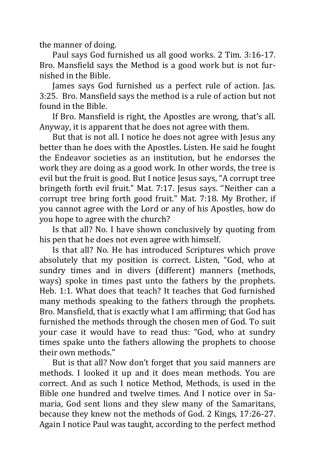the manner of doing.

Paul says God furnished us all good works. 2 Tim. 3:16-17. Bro. Mansfield says the Method is a good work but is not furnished in the Bible.

James says God furnished us a perfect rule of action. Jas. 3:25. Bro. Mansfield says the method is a rule of action but not found in the Bible.

If Bro. Mansfield is right, the Apostles are wrong, that's all. Anyway, it is apparent that he does not agree with them.

But that is not all. I notice he does not agree with Jesus any better than he does with the Apostles. Listen. He said he fought the Endeavor societies as an institution, but he endorses the work they are doing as a good work. In other words, the tree is evil but the fruit is good. But I notice Jesus says, "A corrupt tree bringeth forth evil fruit." Mat. 7:17. Jesus says. ''Neither can a corrupt tree bring forth good fruit." Mat. 7:18. My Brother, if you cannot agree with the Lord or any of his Apostles, how do you hope to agree with the church?

Is that all? No. I have shown conclusively by quoting from his pen that he does not even agree with himself.

Is that all? No. He has introduced Scriptures which prove absolutely that my position is correct. Listen, "God, who at sundry times and in divers (different) manners (methods, ways) spoke in times past unto the fathers by the prophets. Heb. 1:1. What does that teach? It teaches that God furnished many methods speaking to the fathers through the prophets. Bro. Mansfield, that is exactly what I am affirming; that God has furnished the methods through the chosen men of God. To suit your case it would have to read thus: "God, who at sundry times spake unto the fathers allowing the prophets to choose their own methods."

But is that all? Now don't forget that you said manners are methods. I looked it up and it does mean methods. You are correct. And as such I notice Method, Methods, is used in the Bible one hundred and twelve times. And I notice over in Samaria, God sent lions and they slew many of the Samaritans, because they knew not the methods of God. 2 Kings, 17:26-27. Again I notice Paul was taught, according to the perfect method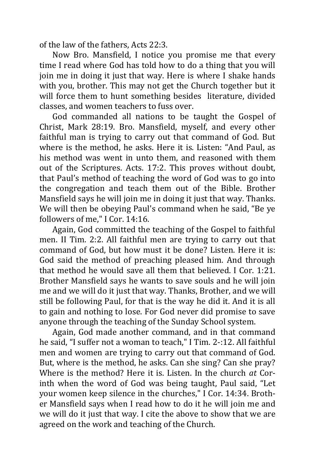of the law of the fathers, Acts 22:3.

Now Bro. Mansfield, I notice you promise me that every time I read where God has told how to do a thing that you will join me in doing it just that way. Here is where I shake hands with you, brother. This may not get the Church together but it will force them to hunt something besides literature, divided classes, and women teachers to fuss over.

God commanded all nations to be taught the Gospel of Christ, Mark 28:19. Bro. Mansfield, myself, and every other faithful man is trying to carry out that command of God. But where is the method, he asks. Here it is. Listen: "And Paul, as his method was went in unto them, and reasoned with them out of the Scriptures. Acts. 17:2. This proves without doubt, that Paul's method of teaching the word of God was to go into the congregation and teach them out of the Bible. Brother Mansfield says he will join me in doing it just that way. Thanks. We will then be obeying Paul's command when he said, "Be ye followers of me," I Cor. 14:16.

Again, God committed the teaching of the Gospel to faithful men. II Tim. 2:2. All faithful men are trying to carry out that command of God, but how must it be done? Listen. Here it is: God said the method of preaching pleased him. And through that method he would save all them that believed. I Cor. 1:21. Brother Mansfield says he wants to save souls and he will join me and we will do it just that way. Thanks, Brother, and we will still be following Paul, for that is the way he did it. And it is all to gain and nothing to lose. For God never did promise to save anyone through the teaching of the Sunday School system.

Again, God made another command, and in that command he said, "I suffer not a woman to teach," I Tim. 2-:12. All faithful men and women are trying to carry out that command of God. But, where is the method, he asks. Can she sing? Can she pray? Where is the method? Here it is. Listen. In the church *at* Corinth when the word of God was being taught, Paul said, "Let your women keep silence in the churches," I Cor. 14:34. Brother Mansfield says when I read how to do it he will join me and we will do it just that way. I cite the above to show that we are agreed on the work and teaching of the Church.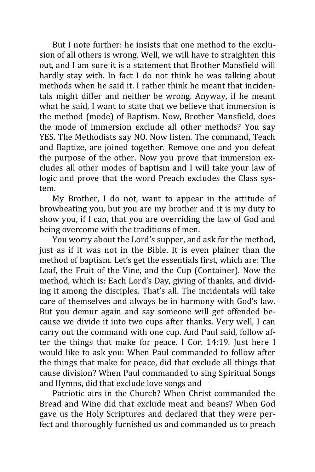But I note further: he insists that one method to the exclusion of all others is wrong. Well, we will have to straighten this out, and I am sure it is a statement that Brother Mansfield will hardly stay with. In fact I do not think he was talking about methods when he said it. I rather think he meant that incidentals might differ and neither be wrong. Anyway, if he meant what he said, I want to state that we believe that immersion is the method (mode) of Baptism. Now, Brother Mansfield, does the mode of immersion exclude all other methods? You say YES. The Methodists say NO. Now listen. The command, Teach and Baptize, are joined together. Remove one and you defeat the purpose of the other. Now you prove that immersion excludes all other modes of baptism and I will take your law of logic and prove that the word Preach excludes the Class system.

My Brother, I do not, want to appear in the attitude of browbeating you, but you are my brother and it is my duty to show you, if I can, that you are overriding the law of God and being overcome with the traditions of men.

You worry about the Lord's supper, and ask for the method, just as if it was not in the Bible. It is even plainer than the method of baptism. Let's get the essentials first, which are: The Loaf, the Fruit of the Vine, and the Cup (Container). Now the method, which is: Each Lord's Day, giving of thanks, and dividing it among the disciples. That's all. The incidentals will take care of themselves and always be in harmony with God's law. But you demur again and say someone will get offended because we divide it into two cups after thanks. Very well, I can carry out the command with one cup. And Paul said, follow after the things that make for peace. I Cor. 14:19. Just here I would like to ask you: When Paul commanded to follow after the things that make for peace, did that exclude all things that cause division? When Paul commanded to sing Spiritual Songs and Hymns, did that exclude love songs and

Patriotic airs in the Church? When Christ commanded the Bread and Wine did that exclude meat and beans? When God gave us the Holy Scriptures and declared that they were perfect and thoroughly furnished us and commanded us to preach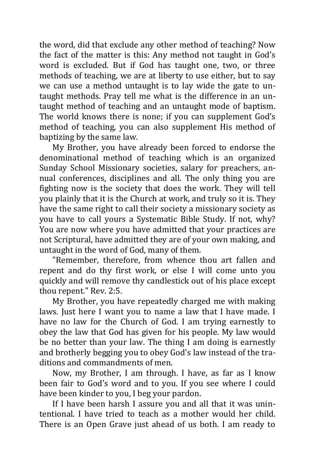the word, did that exclude any other method of teaching? Now the fact of the matter is this: Any method not taught in God's word is excluded. But if God has taught one, two, or three methods of teaching, we are at liberty to use either, but to say we can use a method untaught is to lay wide the gate to untaught methods. Pray tell me what is the difference in an untaught method of teaching and an untaught mode of baptism. The world knows there is none; if you can supplement God's method of teaching, you can also supplement His method of baptizing by the same law.

My Brother, you have already been forced to endorse the denominational method of teaching which is an organized Sunday School Missionary societies, salary for preachers, annual conferences, disciplines and all. The only thing you are fighting now is the society that does the work. They will tell you plainly that it is the Church at work, and truly so it is. They have the same right to call their society a missionary society as you have to call yours a Systematic Bible Study. If not, why? You are now where you have admitted that your practices are not Scriptural, have admitted they are of your own making, and untaught in the word of God, many of them.

"Remember, therefore, from whence thou art fallen and repent and do thy first work, or else I will come unto you quickly and will remove thy candlestick out of his place except thou repent." Rev. 2:5.

My Brother, you have repeatedly charged me with making laws. Just here I want you to name a law that I have made. I have no law for the Church of God. I am trying earnestly to obey the law that God has given for his people. My law would be no better than your law. The thing I am doing is earnestly and brotherly begging you to obey God's law instead of the traditions and commandments of men.

Now, my Brother, I am through. I have, as far as I know been fair to God's word and to you. If you see where I could have been kinder to you, I beg your pardon.

If I have been harsh I assure you and all that it was unintentional. I have tried to teach as a mother would her child. There is an Open Grave just ahead of us both. I am ready to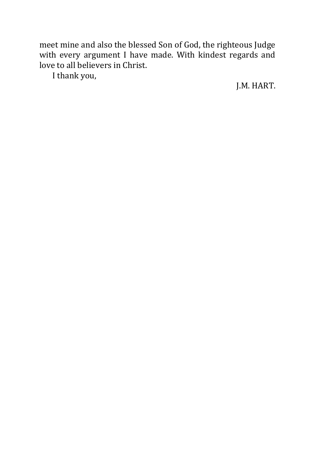meet mine and also the blessed Son of God, the righteous Judge with every argument I have made. With kindest regards and love to all believers in Christ.

I thank you,

J.M. HART.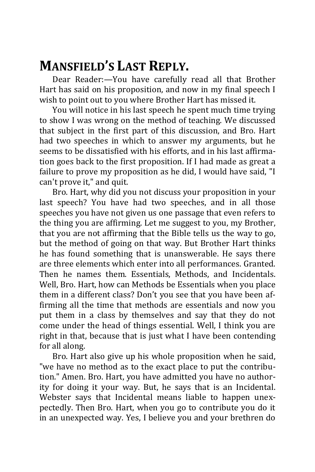### **MANSFIELD'S LAST REPLY.**

Dear Reader:—You have carefully read all that Brother Hart has said on his proposition, and now in my final speech I wish to point out to you where Brother Hart has missed it.

You will notice in his last speech he spent much time trying to show I was wrong on the method of teaching. We discussed that subject in the first part of this discussion, and Bro. Hart had two speeches in which to answer my arguments, but he seems to be dissatisfied with his efforts, and in his last affirmation goes back to the first proposition. If I had made as great a failure to prove my proposition as he did, I would have said, "I can't prove it," and quit.

Bro. Hart, why did you not discuss your proposition in your last speech? You have had two speeches, and in all those speeches you have not given us one passage that even refers to the thing you are affirming. Let me suggest to you, my Brother, that you are not affirming that the Bible tells us the way to go, but the method of going on that way. But Brother Hart thinks he has found something that is unanswerable. He says there are three elements which enter into all performances. Granted. Then he names them. Essentials, Methods, and Incidentals. Well, Bro. Hart, how can Methods be Essentials when you place them in a different class? Don't you see that you have been affirming all the time that methods are essentials and now you put them in a class by themselves and say that they do not come under the head of things essential. Well, I think you are right in that, because that is just what I have been contending for all along.

Bro. Hart also give up his whole proposition when he said, "we have no method as to the exact place to put the contribution." Amen. Bro. Hart, you have admitted you have no authority for doing it your way. But, he says that is an Incidental. Webster says that Incidental means liable to happen unexpectedly. Then Bro. Hart, when you go to contribute you do it in an unexpected way. Yes, I believe you and your brethren do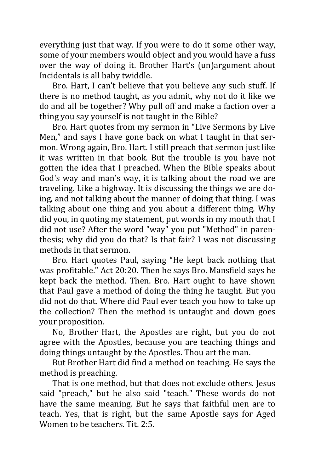everything just that way. If you were to do it some other way, some of your members would object and you would have a fuss over the way of doing it. Brother Hart's (un)argument about Incidentals is all baby twiddle.

Bro. Hart, I can't believe that you believe any such stuff. If there is no method taught, as you admit, why not do it like we do and all be together? Why pull off and make a faction over a thing you say yourself is not taught in the Bible?

Bro. Hart quotes from my sermon in "Live Sermons by Live Men," and says I have gone back on what I taught in that sermon. Wrong again, Bro. Hart. I still preach that sermon just like it was written in that book. But the trouble is you have not gotten the idea that I preached. When the Bible speaks about God's way and man's way, it is talking about the road we are traveling. Like a highway. It is discussing the things we are doing, and not talking about the manner of doing that thing. I was talking about one thing and you about a different thing. Why did you, in quoting my statement, put words in my mouth that I did not use? After the word "way" you put "Method" in parenthesis; why did you do that? Is that fair? I was not discussing methods in that sermon.

Bro. Hart quotes Paul, saying "He kept back nothing that was profitable." Act 20:20. Then he says Bro. Mansfield says he kept back the method. Then. Bro. Hart ought to have shown that Paul gave a method of doing the thing he taught. But you did not do that. Where did Paul ever teach you how to take up the collection? Then the method is untaught and down goes your proposition.

No, Brother Hart, the Apostles are right, but you do not agree with the Apostles, because you are teaching things and doing things untaught by the Apostles. Thou art the man.

But Brother Hart did find a method on teaching. He says the method is preaching.

That is one method, but that does not exclude others. Jesus said "preach," but he also said "teach." These words do not have the same meaning. But he says that faithful men are to teach. Yes, that is right, but the same Apostle says for Aged Women to be teachers. Tit. 2:5.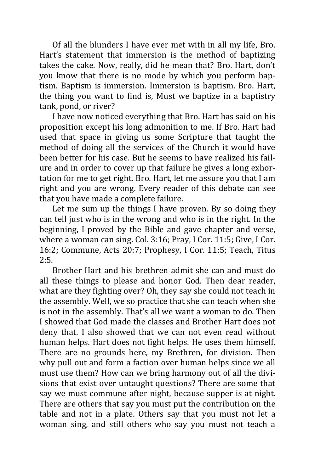Of all the blunders I have ever met with in all my life, Bro. Hart's statement that immersion is the method of baptizing takes the cake. Now, really, did he mean that? Bro. Hart, don't you know that there is no mode by which you perform baptism. Baptism is immersion. Immersion is baptism. Bro. Hart, the thing you want to find is, Must we baptize in a baptistry tank, pond, or river?

I have now noticed everything that Bro. Hart has said on his proposition except his long admonition to me. If Bro. Hart had used that space in giving us some Scripture that taught the method of doing all the services of the Church it would have been better for his case. But he seems to have realized his failure and in order to cover up that failure he gives a long exhortation for me to get right. Bro. Hart, let me assure you that I am right and you are wrong. Every reader of this debate can see that you have made a complete failure.

Let me sum up the things I have proven. By so doing they can tell just who is in the wrong and who is in the right. In the beginning, I proved by the Bible and gave chapter and verse, where a woman can sing. Col. 3:16; Pray, I Cor. 11:5; Give, I Cor. 16:2; Commune, Acts 20:7; Prophesy, I Cor. 11:5; Teach, Titus 2:5.

Brother Hart and his brethren admit she can and must do all these things to please and honor God. Then dear reader, what are they fighting over? Oh, they say she could not teach in the assembly. Well, we so practice that she can teach when she is not in the assembly. That's all we want a woman to do. Then I showed that God made the classes and Brother Hart does not deny that. I also showed that we can not even read without human helps. Hart does not fight helps. He uses them himself. There are no grounds here, my Brethren, for division. Then why pull out and form a faction over human helps since we all must use them? How can we bring harmony out of all the divisions that exist over untaught questions? There are some that say we must commune after night, because supper is at night. There are others that say you must put the contribution on the table and not in a plate. Others say that you must not let a woman sing, and still others who say you must not teach a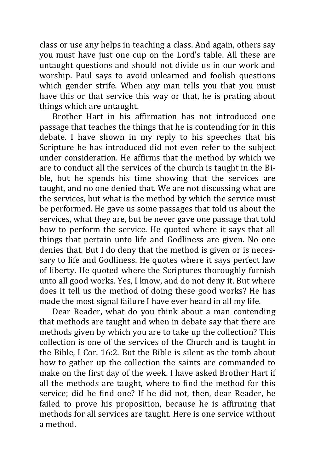class or use any helps in teaching a class. And again, others say you must have just one cup on the Lord's table. All these are untaught questions and should not divide us in our work and worship. Paul says to avoid unlearned and foolish questions which gender strife. When any man tells you that you must have this or that service this way or that, he is prating about things which are untaught.

Brother Hart in his affirmation has not introduced one passage that teaches the things that he is contending for in this debate. I have shown in my reply to his speeches that his Scripture he has introduced did not even refer to the subject under consideration. He affirms that the method by which we are to conduct all the services of the church is taught in the Bible, but he spends his time showing that the services are taught, and no one denied that. We are not discussing what are the services, but what is the method by which the service must be performed. He gave us some passages that told us about the services, what they are, but be never gave one passage that told how to perform the service. He quoted where it says that all things that pertain unto life and Godliness are given. No one denies that. But I do deny that the method is given or is necessary to life and Godliness. He quotes where it says perfect law of liberty. He quoted where the Scriptures thoroughly furnish unto all good works. Yes, I know, and do not deny it. But where does it tell us the method of doing these good works? He has made the most signal failure I have ever heard in all my life.

Dear Reader, what do you think about a man contending that methods are taught and when in debate say that there are methods given by which you are to take up the collection? This collection is one of the services of the Church and is taught in the Bible, I Cor. 16:2. But the Bible is silent as the tomb about how to gather up the collection the saints are commanded to make on the first day of the week. I have asked Brother Hart if all the methods are taught, where to find the method for this service; did he find one? If he did not, then, dear Reader, he failed to prove his proposition, because he is affirming that methods for all services are taught. Here is one service without a method.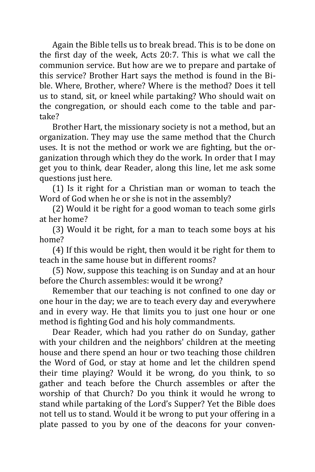Again the Bible tells us to break bread. This is to be done on the first day of the week, Acts 20:7. This is what we call the communion service. But how are we to prepare and partake of this service? Brother Hart says the method is found in the Bible. Where, Brother, where? Where is the method? Does it tell us to stand, sit, or kneel while partaking? Who should wait on the congregation, or should each come to the table and partake?

Brother Hart, the missionary society is not a method, but an organization. They may use the same method that the Church uses. It is not the method or work we are fighting, but the organization through which they do the work. In order that I may get you to think, dear Reader, along this line, let me ask some questions just here.

(1) Is it right for a Christian man or woman to teach the Word of God when he or she is not in the assembly?

(2) Would it be right for a good woman to teach some girls at her home?

(3) Would it be right, for a man to teach some boys at his home?

(4) If this would be right, then would it be right for them to teach in the same house but in different rooms?

(5) Now, suppose this teaching is on Sunday and at an hour before the Church assembles: would it be wrong?

Remember that our teaching is not confined to one day or one hour in the day; we are to teach every day and everywhere and in every way. He that limits you to just one hour or one method is fighting God and his holy commandments.

Dear Reader, which had you rather do on Sunday, gather with your children and the neighbors' children at the meeting house and there spend an hour or two teaching those children the Word of God, or stay at home and let the children spend their time playing? Would it be wrong, do you think, to so gather and teach before the Church assembles or after the worship of that Church? Do you think it would he wrong to stand while partaking of the Lord's Supper? Yet the Bible does not tell us to stand. Would it be wrong to put your offering in a plate passed to you by one of the deacons for your conven